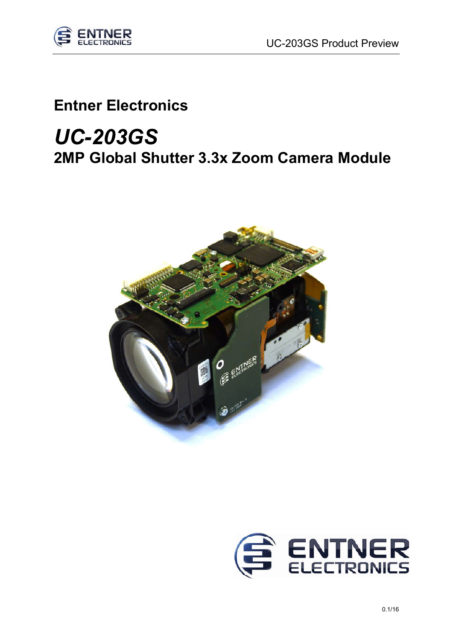



## Entner Electronics

## *UC-203GS* 2MP Global Shutter 3.3x Zoom Camera Module

֦